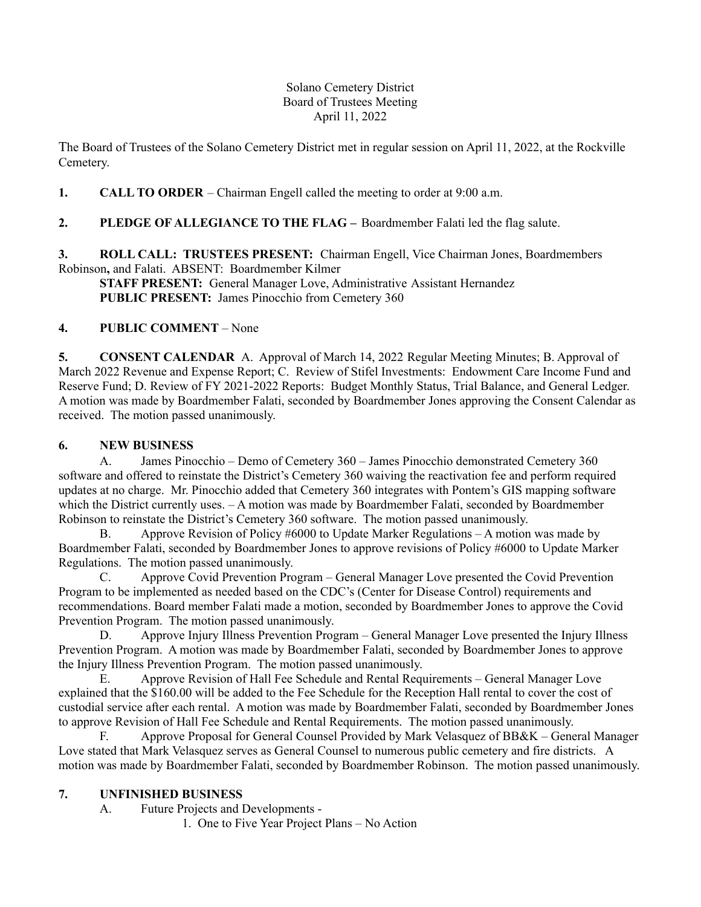### Solano Cemetery District Board of Trustees Meeting April 11, 2022

The Board of Trustees of the Solano Cemetery District met in regular session on April 11, 2022, at the Rockville Cemetery.

**1. CALL TO ORDER** – Chairman Engell called the meeting to order at 9:00 a.m.

# **2. PLEDGE OF ALLEGIANCE TO THE FLAG –** Boardmember Falati led the flag salute.

**3. ROLL CALL: TRUSTEES PRESENT:** Chairman Engell, Vice Chairman Jones, Boardmembers Robinson**,** and Falati. ABSENT: Boardmember Kilmer

**STAFF PRESENT:** General Manager Love, Administrative Assistant Hernandez **PUBLIC PRESENT:** James Pinocchio from Cemetery 360

## **4. PUBLIC COMMENT** – None

**5. CONSENT CALENDAR** A. Approval of March 14, 2022 Regular Meeting Minutes; B. Approval of March 2022 Revenue and Expense Report; C. Review of Stifel Investments: Endowment Care Income Fund and Reserve Fund; D. Review of FY 2021-2022 Reports: Budget Monthly Status, Trial Balance, and General Ledger. A motion was made by Boardmember Falati, seconded by Boardmember Jones approving the Consent Calendar as received. The motion passed unanimously.

### **6. NEW BUSINESS**

A. James Pinocchio – Demo of Cemetery 360 – James Pinocchio demonstrated Cemetery 360 software and offered to reinstate the District's Cemetery 360 waiving the reactivation fee and perform required updates at no charge. Mr. Pinocchio added that Cemetery 360 integrates with Pontem's GIS mapping software which the District currently uses. – A motion was made by Boardmember Falati, seconded by Boardmember Robinson to reinstate the District's Cemetery 360 software. The motion passed unanimously.

B. Approve Revision of Policy #6000 to Update Marker Regulations – A motion was made by Boardmember Falati, seconded by Boardmember Jones to approve revisions of Policy #6000 to Update Marker Regulations. The motion passed unanimously.

C. Approve Covid Prevention Program – General Manager Love presented the Covid Prevention Program to be implemented as needed based on the CDC's (Center for Disease Control) requirements and recommendations. Board member Falati made a motion, seconded by Boardmember Jones to approve the Covid Prevention Program. The motion passed unanimously.

D. Approve Injury Illness Prevention Program – General Manager Love presented the Injury Illness Prevention Program. A motion was made by Boardmember Falati, seconded by Boardmember Jones to approve the Injury Illness Prevention Program. The motion passed unanimously.

E. Approve Revision of Hall Fee Schedule and Rental Requirements – General Manager Love explained that the \$160.00 will be added to the Fee Schedule for the Reception Hall rental to cover the cost of custodial service after each rental. A motion was made by Boardmember Falati, seconded by Boardmember Jones to approve Revision of Hall Fee Schedule and Rental Requirements. The motion passed unanimously.

F. Approve Proposal for General Counsel Provided by Mark Velasquez of BB&K – General Manager Love stated that Mark Velasquez serves as General Counsel to numerous public cemetery and fire districts. A motion was made by Boardmember Falati, seconded by Boardmember Robinson. The motion passed unanimously.

## **7. UNFINISHED BUSINESS**

A. Future Projects and Developments -

1. One to Five Year Project Plans – No Action